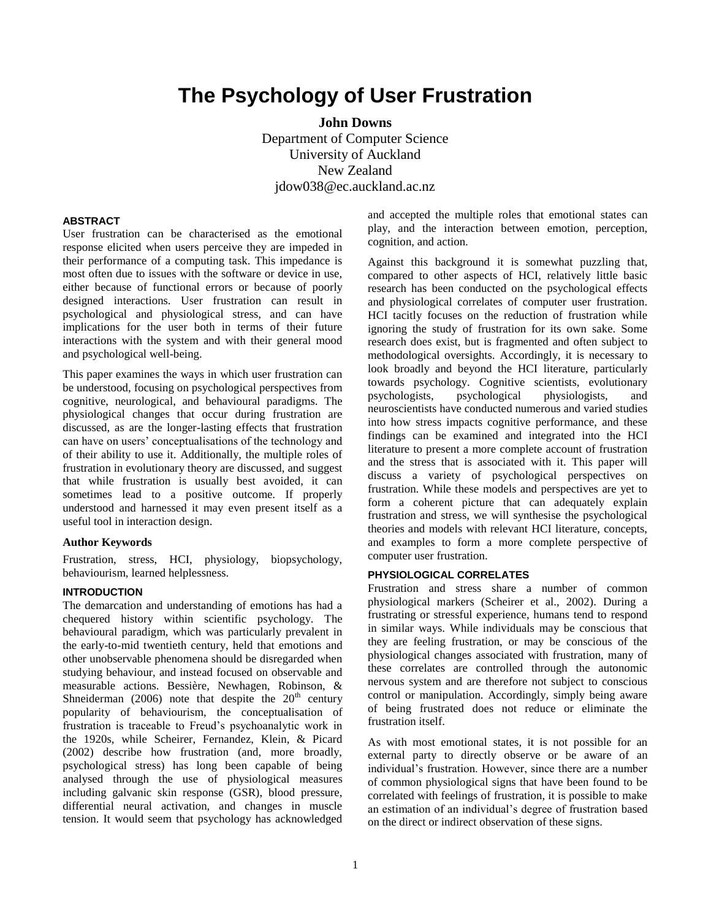# **The Psychology of User Frustration**

**John Downs** Department of Computer Science University of Auckland New Zealand jdow038@ec.auckland.ac.nz

#### **ABSTRACT**

User frustration can be characterised as the emotional response elicited when users perceive they are impeded in their performance of a computing task. This impedance is most often due to issues with the software or device in use, either because of functional errors or because of poorly designed interactions. User frustration can result in psychological and physiological stress, and can have implications for the user both in terms of their future interactions with the system and with their general mood and psychological well-being.

This paper examines the ways in which user frustration can be understood, focusing on psychological perspectives from cognitive, neurological, and behavioural paradigms. The physiological changes that occur during frustration are discussed, as are the longer-lasting effects that frustration can have on users" conceptualisations of the technology and of their ability to use it. Additionally, the multiple roles of frustration in evolutionary theory are discussed, and suggest that while frustration is usually best avoided, it can sometimes lead to a positive outcome. If properly understood and harnessed it may even present itself as a useful tool in interaction design.

#### **Author Keywords**

Frustration, stress, HCI, physiology, biopsychology, behaviourism, learned helplessness.

#### **INTRODUCTION**

The demarcation and understanding of emotions has had a chequered history within scientific psychology. The behavioural paradigm, which was particularly prevalent in the early-to-mid twentieth century, held that emotions and other unobservable phenomena should be disregarded when studying behaviour, and instead focused on observable and measurable actions. Bessière, Newhagen, Robinson, & Shneiderman (2006) note that despite the  $20<sup>th</sup>$  century popularity of behaviourism, the conceptualisation of frustration is traceable to Freud"s psychoanalytic work in the 1920s, while Scheirer, Fernandez, Klein, & Picard (2002) describe how frustration (and, more broadly, psychological stress) has long been capable of being analysed through the use of physiological measures including galvanic skin response (GSR), blood pressure, differential neural activation, and changes in muscle tension. It would seem that psychology has acknowledged

and accepted the multiple roles that emotional states can play, and the interaction between emotion, perception, cognition, and action.

Against this background it is somewhat puzzling that, compared to other aspects of HCI, relatively little basic research has been conducted on the psychological effects and physiological correlates of computer user frustration. HCI tacitly focuses on the reduction of frustration while ignoring the study of frustration for its own sake. Some research does exist, but is fragmented and often subject to methodological oversights. Accordingly, it is necessary to look broadly and beyond the HCI literature, particularly towards psychology. Cognitive scientists, evolutionary psychologists, psychological physiologists, and neuroscientists have conducted numerous and varied studies into how stress impacts cognitive performance, and these findings can be examined and integrated into the HCI literature to present a more complete account of frustration and the stress that is associated with it. This paper will discuss a variety of psychological perspectives on frustration. While these models and perspectives are yet to form a coherent picture that can adequately explain frustration and stress, we will synthesise the psychological theories and models with relevant HCI literature, concepts, and examples to form a more complete perspective of computer user frustration.

## **PHYSIOLOGICAL CORRELATES**

Frustration and stress share a number of common physiological markers (Scheirer et al., 2002). During a frustrating or stressful experience, humans tend to respond in similar ways. While individuals may be conscious that they are feeling frustration, or may be conscious of the physiological changes associated with frustration, many of these correlates are controlled through the autonomic nervous system and are therefore not subject to conscious control or manipulation. Accordingly, simply being aware of being frustrated does not reduce or eliminate the frustration itself.

As with most emotional states, it is not possible for an external party to directly observe or be aware of an individual"s frustration. However, since there are a number of common physiological signs that have been found to be correlated with feelings of frustration, it is possible to make an estimation of an individual"s degree of frustration based on the direct or indirect observation of these signs.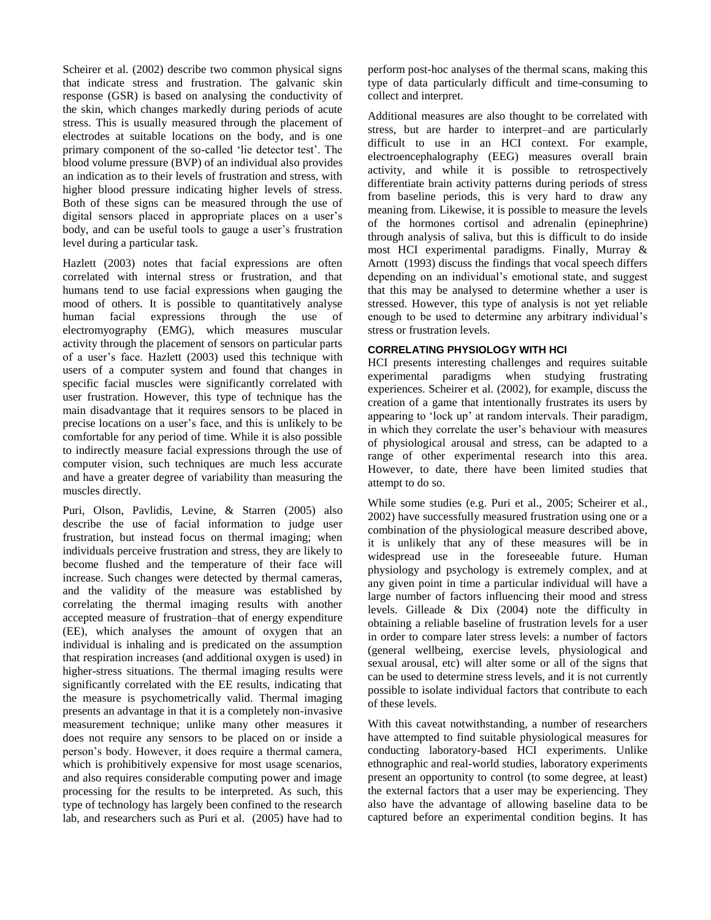Scheirer et al. (2002) describe two common physical signs that indicate stress and frustration. The galvanic skin response (GSR) is based on analysing the conductivity of the skin, which changes markedly during periods of acute stress. This is usually measured through the placement of electrodes at suitable locations on the body, and is one primary component of the so-called 'lie detector test'. The blood volume pressure (BVP) of an individual also provides an indication as to their levels of frustration and stress, with higher blood pressure indicating higher levels of stress. Both of these signs can be measured through the use of digital sensors placed in appropriate places on a user's body, and can be useful tools to gauge a user"s frustration level during a particular task.

Hazlett (2003) notes that facial expressions are often correlated with internal stress or frustration, and that humans tend to use facial expressions when gauging the mood of others. It is possible to quantitatively analyse human facial expressions through the use of electromyography (EMG), which measures muscular activity through the placement of sensors on particular parts of a user's face. Hazlett (2003) used this technique with users of a computer system and found that changes in specific facial muscles were significantly correlated with user frustration. However, this type of technique has the main disadvantage that it requires sensors to be placed in precise locations on a user"s face, and this is unlikely to be comfortable for any period of time. While it is also possible to indirectly measure facial expressions through the use of computer vision, such techniques are much less accurate and have a greater degree of variability than measuring the muscles directly.

Puri, Olson, Pavlidis, Levine, & Starren (2005) also describe the use of facial information to judge user frustration, but instead focus on thermal imaging; when individuals perceive frustration and stress, they are likely to become flushed and the temperature of their face will increase. Such changes were detected by thermal cameras, and the validity of the measure was established by correlating the thermal imaging results with another accepted measure of frustration–that of energy expenditure (EE), which analyses the amount of oxygen that an individual is inhaling and is predicated on the assumption that respiration increases (and additional oxygen is used) in higher-stress situations. The thermal imaging results were significantly correlated with the EE results, indicating that the measure is psychometrically valid. Thermal imaging presents an advantage in that it is a completely non-invasive measurement technique; unlike many other measures it does not require any sensors to be placed on or inside a person"s body. However, it does require a thermal camera, which is prohibitively expensive for most usage scenarios, and also requires considerable computing power and image processing for the results to be interpreted. As such, this type of technology has largely been confined to the research lab, and researchers such as Puri et al. (2005) have had to

perform post-hoc analyses of the thermal scans, making this type of data particularly difficult and time-consuming to collect and interpret.

Additional measures are also thought to be correlated with stress, but are harder to interpret–and are particularly difficult to use in an HCI context. For example, electroencephalography (EEG) measures overall brain activity, and while it is possible to retrospectively differentiate brain activity patterns during periods of stress from baseline periods, this is very hard to draw any meaning from. Likewise, it is possible to measure the levels of the hormones cortisol and adrenalin (epinephrine) through analysis of saliva, but this is difficult to do inside most HCI experimental paradigms. Finally, Murray & Arnott (1993) discuss the findings that vocal speech differs depending on an individual"s emotional state, and suggest that this may be analysed to determine whether a user is stressed. However, this type of analysis is not yet reliable enough to be used to determine any arbitrary individual"s stress or frustration levels.

## **CORRELATING PHYSIOLOGY WITH HCI**

HCI presents interesting challenges and requires suitable experimental paradigms when studying frustrating experiences. Scheirer et al. (2002), for example, discuss the creation of a game that intentionally frustrates its users by appearing to "lock up" at random intervals. Their paradigm, in which they correlate the user"s behaviour with measures of physiological arousal and stress, can be adapted to a range of other experimental research into this area. However, to date, there have been limited studies that attempt to do so.

While some studies (e.g. Puri et al., 2005; Scheirer et al., 2002) have successfully measured frustration using one or a combination of the physiological measure described above, it is unlikely that any of these measures will be in widespread use in the foreseeable future. Human physiology and psychology is extremely complex, and at any given point in time a particular individual will have a large number of factors influencing their mood and stress levels. Gilleade & Dix (2004) note the difficulty in obtaining a reliable baseline of frustration levels for a user in order to compare later stress levels: a number of factors (general wellbeing, exercise levels, physiological and sexual arousal, etc) will alter some or all of the signs that can be used to determine stress levels, and it is not currently possible to isolate individual factors that contribute to each of these levels.

With this caveat notwithstanding, a number of researchers have attempted to find suitable physiological measures for conducting laboratory-based HCI experiments. Unlike ethnographic and real-world studies, laboratory experiments present an opportunity to control (to some degree, at least) the external factors that a user may be experiencing. They also have the advantage of allowing baseline data to be captured before an experimental condition begins. It has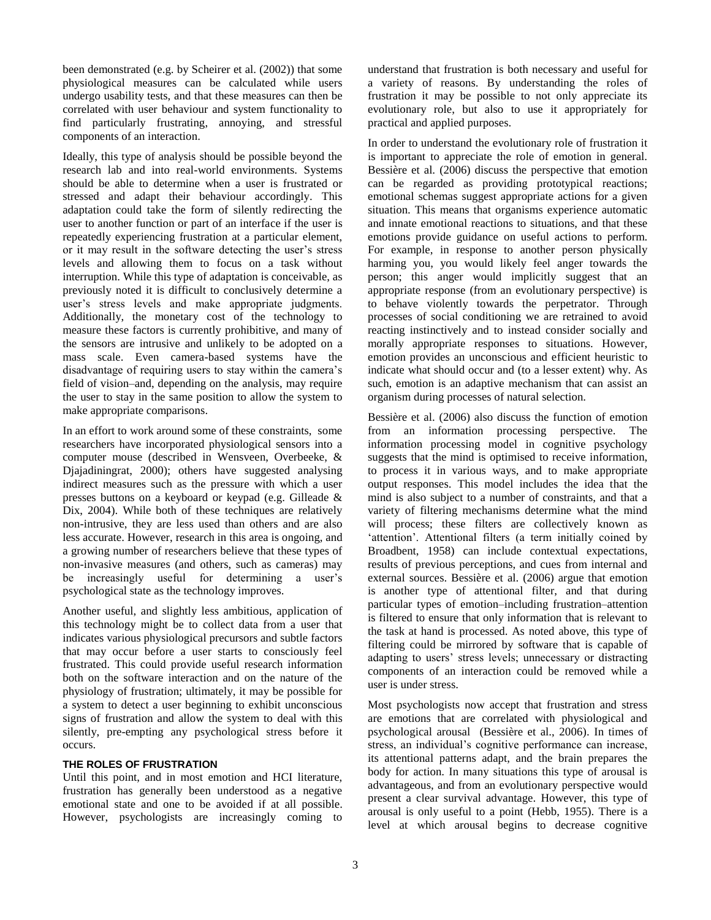been demonstrated (e.g. by Scheirer et al. (2002)) that some physiological measures can be calculated while users undergo usability tests, and that these measures can then be correlated with user behaviour and system functionality to find particularly frustrating, annoying, and stressful components of an interaction.

Ideally, this type of analysis should be possible beyond the research lab and into real-world environments. Systems should be able to determine when a user is frustrated or stressed and adapt their behaviour accordingly. This adaptation could take the form of silently redirecting the user to another function or part of an interface if the user is repeatedly experiencing frustration at a particular element, or it may result in the software detecting the user"s stress levels and allowing them to focus on a task without interruption. While this type of adaptation is conceivable, as previously noted it is difficult to conclusively determine a user"s stress levels and make appropriate judgments. Additionally, the monetary cost of the technology to measure these factors is currently prohibitive, and many of the sensors are intrusive and unlikely to be adopted on a mass scale. Even camera-based systems have the disadvantage of requiring users to stay within the camera"s field of vision–and, depending on the analysis, may require the user to stay in the same position to allow the system to make appropriate comparisons.

In an effort to work around some of these constraints, some researchers have incorporated physiological sensors into a computer mouse (described in Wensveen, Overbeeke, & Djajadiningrat, 2000); others have suggested analysing indirect measures such as the pressure with which a user presses buttons on a keyboard or keypad (e.g. Gilleade & Dix, 2004). While both of these techniques are relatively non-intrusive, they are less used than others and are also less accurate. However, research in this area is ongoing, and a growing number of researchers believe that these types of non-invasive measures (and others, such as cameras) may be increasingly useful for determining a user's psychological state as the technology improves.

Another useful, and slightly less ambitious, application of this technology might be to collect data from a user that indicates various physiological precursors and subtle factors that may occur before a user starts to consciously feel frustrated. This could provide useful research information both on the software interaction and on the nature of the physiology of frustration; ultimately, it may be possible for a system to detect a user beginning to exhibit unconscious signs of frustration and allow the system to deal with this silently, pre-empting any psychological stress before it occurs.

## **THE ROLES OF FRUSTRATION**

Until this point, and in most emotion and HCI literature, frustration has generally been understood as a negative emotional state and one to be avoided if at all possible. However, psychologists are increasingly coming to understand that frustration is both necessary and useful for a variety of reasons. By understanding the roles of frustration it may be possible to not only appreciate its evolutionary role, but also to use it appropriately for practical and applied purposes.

In order to understand the evolutionary role of frustration it is important to appreciate the role of emotion in general. Bessière et al. (2006) discuss the perspective that emotion can be regarded as providing prototypical reactions; emotional schemas suggest appropriate actions for a given situation. This means that organisms experience automatic and innate emotional reactions to situations, and that these emotions provide guidance on useful actions to perform. For example, in response to another person physically harming you, you would likely feel anger towards the person; this anger would implicitly suggest that an appropriate response (from an evolutionary perspective) is to behave violently towards the perpetrator. Through processes of social conditioning we are retrained to avoid reacting instinctively and to instead consider socially and morally appropriate responses to situations. However, emotion provides an unconscious and efficient heuristic to indicate what should occur and (to a lesser extent) why. As such, emotion is an adaptive mechanism that can assist an organism during processes of natural selection.

Bessière et al. (2006) also discuss the function of emotion from an information processing perspective. The information processing model in cognitive psychology suggests that the mind is optimised to receive information, to process it in various ways, and to make appropriate output responses. This model includes the idea that the mind is also subject to a number of constraints, and that a variety of filtering mechanisms determine what the mind will process; these filters are collectively known as 'attention'. Attentional filters (a term initially coined by Broadbent, 1958) can include contextual expectations, results of previous perceptions, and cues from internal and external sources. Bessière et al. (2006) argue that emotion is another type of attentional filter, and that during particular types of emotion–including frustration–attention is filtered to ensure that only information that is relevant to the task at hand is processed. As noted above, this type of filtering could be mirrored by software that is capable of adapting to users' stress levels; unnecessary or distracting components of an interaction could be removed while a user is under stress.

Most psychologists now accept that frustration and stress are emotions that are correlated with physiological and psychological arousal (Bessière et al., 2006). In times of stress, an individual"s cognitive performance can increase, its attentional patterns adapt, and the brain prepares the body for action. In many situations this type of arousal is advantageous, and from an evolutionary perspective would present a clear survival advantage. However, this type of arousal is only useful to a point (Hebb, 1955). There is a level at which arousal begins to decrease cognitive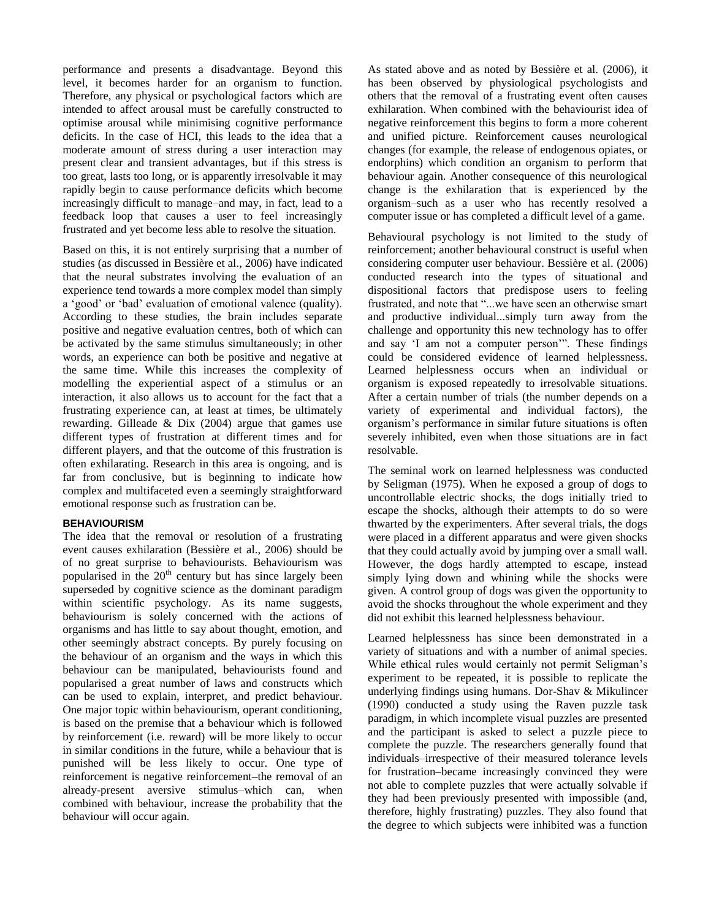performance and presents a disadvantage. Beyond this level, it becomes harder for an organism to function. Therefore, any physical or psychological factors which are intended to affect arousal must be carefully constructed to optimise arousal while minimising cognitive performance deficits. In the case of HCI, this leads to the idea that a moderate amount of stress during a user interaction may present clear and transient advantages, but if this stress is too great, lasts too long, or is apparently irresolvable it may rapidly begin to cause performance deficits which become increasingly difficult to manage–and may, in fact, lead to a feedback loop that causes a user to feel increasingly frustrated and yet become less able to resolve the situation.

Based on this, it is not entirely surprising that a number of studies (as discussed in Bessière et al., 2006) have indicated that the neural substrates involving the evaluation of an experience tend towards a more complex model than simply a "good" or "bad" evaluation of emotional valence (quality). According to these studies, the brain includes separate positive and negative evaluation centres, both of which can be activated by the same stimulus simultaneously; in other words, an experience can both be positive and negative at the same time. While this increases the complexity of modelling the experiential aspect of a stimulus or an interaction, it also allows us to account for the fact that a frustrating experience can, at least at times, be ultimately rewarding. Gilleade & Dix (2004) argue that games use different types of frustration at different times and for different players, and that the outcome of this frustration is often exhilarating. Research in this area is ongoing, and is far from conclusive, but is beginning to indicate how complex and multifaceted even a seemingly straightforward emotional response such as frustration can be.

## **BEHAVIOURISM**

The idea that the removal or resolution of a frustrating event causes exhilaration (Bessière et al., 2006) should be of no great surprise to behaviourists. Behaviourism was popularised in the  $20<sup>th</sup>$  century but has since largely been superseded by cognitive science as the dominant paradigm within scientific psychology. As its name suggests, behaviourism is solely concerned with the actions of organisms and has little to say about thought, emotion, and other seemingly abstract concepts. By purely focusing on the behaviour of an organism and the ways in which this behaviour can be manipulated, behaviourists found and popularised a great number of laws and constructs which can be used to explain, interpret, and predict behaviour. One major topic within behaviourism, operant conditioning, is based on the premise that a behaviour which is followed by reinforcement (i.e. reward) will be more likely to occur in similar conditions in the future, while a behaviour that is punished will be less likely to occur. One type of reinforcement is negative reinforcement–the removal of an already-present aversive stimulus–which can, when combined with behaviour, increase the probability that the behaviour will occur again.

As stated above and as noted by Bessière et al. (2006), it has been observed by physiological psychologists and others that the removal of a frustrating event often causes exhilaration. When combined with the behaviourist idea of negative reinforcement this begins to form a more coherent and unified picture. Reinforcement causes neurological changes (for example, the release of endogenous opiates, or endorphins) which condition an organism to perform that behaviour again. Another consequence of this neurological change is the exhilaration that is experienced by the organism–such as a user who has recently resolved a computer issue or has completed a difficult level of a game.

Behavioural psychology is not limited to the study of reinforcement; another behavioural construct is useful when considering computer user behaviour. Bessière et al. (2006) conducted research into the types of situational and dispositional factors that predispose users to feeling frustrated, and note that "...we have seen an otherwise smart and productive individual...simply turn away from the challenge and opportunity this new technology has to offer and say "I am not a computer person"". These findings could be considered evidence of learned helplessness. Learned helplessness occurs when an individual or organism is exposed repeatedly to irresolvable situations. After a certain number of trials (the number depends on a variety of experimental and individual factors), the organism"s performance in similar future situations is often severely inhibited, even when those situations are in fact resolvable.

The seminal work on learned helplessness was conducted by Seligman (1975). When he exposed a group of dogs to uncontrollable electric shocks, the dogs initially tried to escape the shocks, although their attempts to do so were thwarted by the experimenters. After several trials, the dogs were placed in a different apparatus and were given shocks that they could actually avoid by jumping over a small wall. However, the dogs hardly attempted to escape, instead simply lying down and whining while the shocks were given. A control group of dogs was given the opportunity to avoid the shocks throughout the whole experiment and they did not exhibit this learned helplessness behaviour.

Learned helplessness has since been demonstrated in a variety of situations and with a number of animal species. While ethical rules would certainly not permit Seligman"s experiment to be repeated, it is possible to replicate the underlying findings using humans. Dor-Shav & Mikulincer (1990) conducted a study using the Raven puzzle task paradigm, in which incomplete visual puzzles are presented and the participant is asked to select a puzzle piece to complete the puzzle. The researchers generally found that individuals–irrespective of their measured tolerance levels for frustration–became increasingly convinced they were not able to complete puzzles that were actually solvable if they had been previously presented with impossible (and, therefore, highly frustrating) puzzles. They also found that the degree to which subjects were inhibited was a function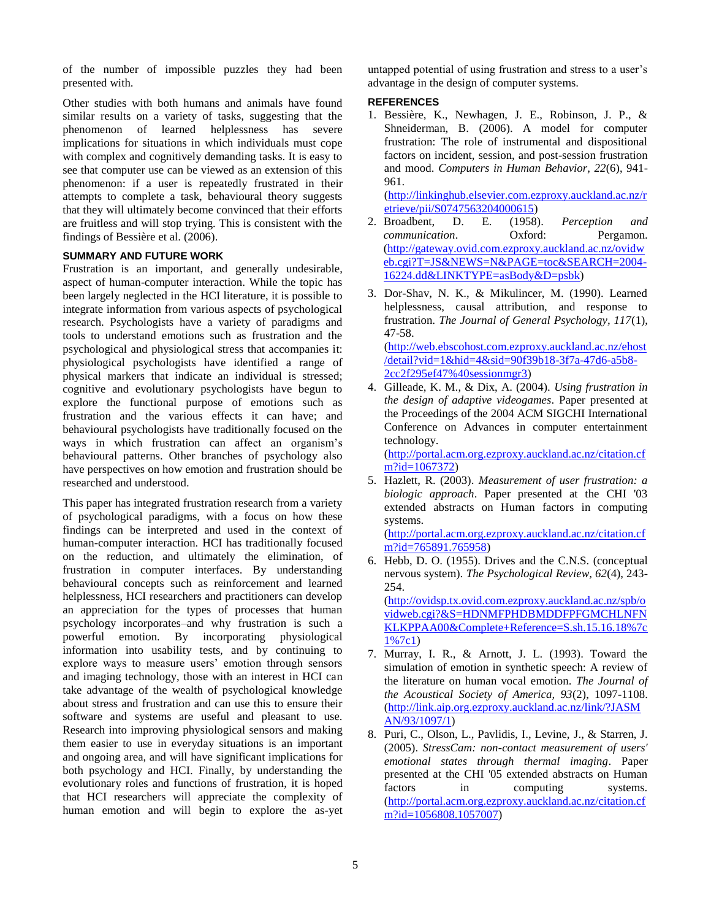of the number of impossible puzzles they had been presented with.

Other studies with both humans and animals have found similar results on a variety of tasks, suggesting that the phenomenon of learned helplessness has severe implications for situations in which individuals must cope with complex and cognitively demanding tasks. It is easy to see that computer use can be viewed as an extension of this phenomenon: if a user is repeatedly frustrated in their attempts to complete a task, behavioural theory suggests that they will ultimately become convinced that their efforts are fruitless and will stop trying. This is consistent with the findings of Bessière et al. (2006).

## **SUMMARY AND FUTURE WORK**

Frustration is an important, and generally undesirable, aspect of human-computer interaction. While the topic has been largely neglected in the HCI literature, it is possible to integrate information from various aspects of psychological research. Psychologists have a variety of paradigms and tools to understand emotions such as frustration and the psychological and physiological stress that accompanies it: physiological psychologists have identified a range of physical markers that indicate an individual is stressed; cognitive and evolutionary psychologists have begun to explore the functional purpose of emotions such as frustration and the various effects it can have; and behavioural psychologists have traditionally focused on the ways in which frustration can affect an organism's behavioural patterns. Other branches of psychology also have perspectives on how emotion and frustration should be researched and understood.

This paper has integrated frustration research from a variety of psychological paradigms, with a focus on how these findings can be interpreted and used in the context of human-computer interaction. HCI has traditionally focused on the reduction, and ultimately the elimination, of frustration in computer interfaces. By understanding behavioural concepts such as reinforcement and learned helplessness, HCI researchers and practitioners can develop an appreciation for the types of processes that human psychology incorporates–and why frustration is such a powerful emotion. By incorporating physiological information into usability tests, and by continuing to explore ways to measure users' emotion through sensors and imaging technology, those with an interest in HCI can take advantage of the wealth of psychological knowledge about stress and frustration and can use this to ensure their software and systems are useful and pleasant to use. Research into improving physiological sensors and making them easier to use in everyday situations is an important and ongoing area, and will have significant implications for both psychology and HCI. Finally, by understanding the evolutionary roles and functions of frustration, it is hoped that HCI researchers will appreciate the complexity of human emotion and will begin to explore the as-yet

untapped potential of using frustration and stress to a user"s advantage in the design of computer systems.

# **REFERENCES**

1. Bessière, K., Newhagen, J. E., Robinson, J. P., & Shneiderman, B. (2006). A model for computer frustration: The role of instrumental and dispositional factors on incident, session, and post-session frustration and mood. *Computers in Human Behavior, 22*(6), 941- 961.

[\(http://linkinghub.elsevier.com.ezproxy.auckland.ac.nz/r](http://linkinghub.elsevier.com.ezproxy.auckland.ac.nz/retrieve/pii/S0747563204000615) [etrieve/pii/S0747563204000615\)](http://linkinghub.elsevier.com.ezproxy.auckland.ac.nz/retrieve/pii/S0747563204000615)

- 2. Broadbent, D. E. (1958). *Perception and communication*. Oxford: Pergamon. [\(http://gateway.ovid.com.ezproxy.auckland.ac.nz/ovidw](http://gateway.ovid.com.ezproxy.auckland.ac.nz/ovidweb.cgi?T=JS&NEWS=N&PAGE=toc&SEARCH=2004-16224.dd&LINKTYPE=asBody&D=psbk) [eb.cgi?T=JS&NEWS=N&PAGE=toc&SEARCH=2004-](http://gateway.ovid.com.ezproxy.auckland.ac.nz/ovidweb.cgi?T=JS&NEWS=N&PAGE=toc&SEARCH=2004-16224.dd&LINKTYPE=asBody&D=psbk) [16224.dd&LINKTYPE=asBody&D=psbk\)](http://gateway.ovid.com.ezproxy.auckland.ac.nz/ovidweb.cgi?T=JS&NEWS=N&PAGE=toc&SEARCH=2004-16224.dd&LINKTYPE=asBody&D=psbk)
- 3. Dor-Shav, N. K., & Mikulincer, M. (1990). Learned helplessness, causal attribution, and response to frustration. *The Journal of General Psychology, 117*(1), 47-58. [\(http://web.ebscohost.com.ezproxy.auckland.ac.nz/ehost](http://web.ebscohost.com.ezproxy.auckland.ac.nz/ehost/detail?vid=1&hid=4&sid=90f39b18-3f7a-47d6-a5b8-2cc2f295ef47%40sessionmgr3) [/detail?vid=1&hid=4&sid=90f39b18-3f7a-47d6-a5b8-](http://web.ebscohost.com.ezproxy.auckland.ac.nz/ehost/detail?vid=1&hid=4&sid=90f39b18-3f7a-47d6-a5b8-2cc2f295ef47%40sessionmgr3) [2cc2f295ef47%40sessionmgr3\)](http://web.ebscohost.com.ezproxy.auckland.ac.nz/ehost/detail?vid=1&hid=4&sid=90f39b18-3f7a-47d6-a5b8-2cc2f295ef47%40sessionmgr3)
- 4. Gilleade, K. M., & Dix, A. (2004). *Using frustration in the design of adaptive videogames*. Paper presented at the Proceedings of the 2004 ACM SIGCHI International Conference on Advances in computer entertainment technology. [\(http://portal.acm.org.ezproxy.auckland.ac.nz/citation.cf](http://portal.acm.org.ezproxy.auckland.ac.nz/citation.cfm?id=1067372)

[m?id=1067372\)](http://portal.acm.org.ezproxy.auckland.ac.nz/citation.cfm?id=1067372)

5. Hazlett, R. (2003). *Measurement of user frustration: a biologic approach*. Paper presented at the CHI '03 extended abstracts on Human factors in computing systems. [\(http://portal.acm.org.ezproxy.auckland.ac.nz/citation.cf](http://portal.acm.org.ezproxy.auckland.ac.nz/citation.cfm?id=765891.765958)

[m?id=765891.765958\)](http://portal.acm.org.ezproxy.auckland.ac.nz/citation.cfm?id=765891.765958)

- 6. Hebb, D. O. (1955). Drives and the C.N.S. (conceptual nervous system). *The Psychological Review, 62*(4), 243-  $254.$ [\(http://ovidsp.tx.ovid.com.ezproxy.auckland.ac.nz/spb/o](http://ovidsp.tx.ovid.com.ezproxy.auckland.ac.nz/spb/ovidweb.cgi?&S=HDNMFPHDBMDDFPFGMCHLNFNKLKPPAA00&Complete+Reference=S.sh.15.16.18%7c1%7c1) [vidweb.cgi?&S=HDNMFPHDBMDDFPFGMCHLNFN](http://ovidsp.tx.ovid.com.ezproxy.auckland.ac.nz/spb/ovidweb.cgi?&S=HDNMFPHDBMDDFPFGMCHLNFNKLKPPAA00&Complete+Reference=S.sh.15.16.18%7c1%7c1) [KLKPPAA00&Complete+Reference=S.sh.15.16.18%7c](http://ovidsp.tx.ovid.com.ezproxy.auckland.ac.nz/spb/ovidweb.cgi?&S=HDNMFPHDBMDDFPFGMCHLNFNKLKPPAA00&Complete+Reference=S.sh.15.16.18%7c1%7c1) [1%7c1\)](http://ovidsp.tx.ovid.com.ezproxy.auckland.ac.nz/spb/ovidweb.cgi?&S=HDNMFPHDBMDDFPFGMCHLNFNKLKPPAA00&Complete+Reference=S.sh.15.16.18%7c1%7c1)
- 7. Murray, I. R., & Arnott, J. L. (1993). Toward the simulation of emotion in synthetic speech: A review of the literature on human vocal emotion. *The Journal of the Acoustical Society of America, 93*(2), 1097-1108. [\(http://link.aip.org.ezproxy.auckland.ac.nz/link/?JASM](http://link.aip.org.ezproxy.auckland.ac.nz/link/?JASMAN/93/1097/1) [AN/93/1097/1\)](http://link.aip.org.ezproxy.auckland.ac.nz/link/?JASMAN/93/1097/1)
- 8. Puri, C., Olson, L., Pavlidis, I., Levine, J., & Starren, J. (2005). *StressCam: non-contact measurement of users' emotional states through thermal imaging*. Paper presented at the CHI '05 extended abstracts on Human factors in computing systems. [\(http://portal.acm.org.ezproxy.auckland.ac.nz/citation.cf](http://portal.acm.org.ezproxy.auckland.ac.nz/citation.cfm?id=1056808.1057007) [m?id=1056808.1057007\)](http://portal.acm.org.ezproxy.auckland.ac.nz/citation.cfm?id=1056808.1057007)